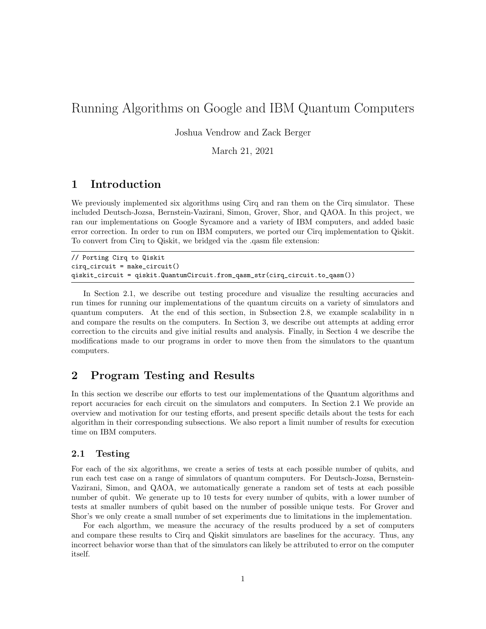# Running Algorithms on Google and IBM Quantum Computers

Joshua Vendrow and Zack Berger

March 21, 2021

## 1 Introduction

We previously implemented six algorithms using Cirq and ran them on the Cirq simulator. These included Deutsch-Jozsa, Bernstein-Vazirani, Simon, Grover, Shor, and QAOA. In this project, we ran our implementations on Google Sycamore and a variety of IBM computers, and added basic error correction. In order to run on IBM computers, we ported our Cirq implementation to Qiskit. To convert from Cirq to Qiskit, we bridged via the .qasm file extension:

// Porting Cirq to Qiskit cirq\_circuit = make\_circuit() qiskit\_circuit = qiskit.QuantumCircuit.from\_qasm\_str(cirq\_circuit.to\_qasm())

In Section 2.1, we describe out testing procedure and visualize the resulting accuracies and run times for running our implementations of the quantum circuits on a variety of simulators and quantum computers. At the end of this section, in Subsection 2.8, we example scalability in n and compare the results on the computers. In Section 3, we describe out attempts at adding error correction to the circuits and give initial results and analysis. Finally, in Section 4 we describe the modifications made to our programs in order to move then from the simulators to the quantum computers.

## 2 Program Testing and Results

In this section we describe our efforts to test our implementations of the Quantum algorithms and report accuracies for each circuit on the simulators and computers. In Section 2.1 We provide an overview and motivation for our testing efforts, and present specific details about the tests for each algorithm in their corresponding subsections. We also report a limit number of results for execution time on IBM computers.

#### 2.1 Testing

For each of the six algorithms, we create a series of tests at each possible number of qubits, and run each test case on a range of simulators of quantum computers. For Deutsch-Jozsa, Bernstein-Vazirani, Simon, and QAOA, we automatically generate a random set of tests at each possible number of qubit. We generate up to 10 tests for every number of qubits, with a lower number of tests at smaller numbers of qubit based on the number of possible unique tests. For Grover and Shor's we only create a small number of set experiments due to limitations in the implementation.

For each algorthm, we measure the accuracy of the results produced by a set of computers and compare these results to Cirq and Qiskit simulators are baselines for the accuracy. Thus, any incorrect behavior worse than that of the simulators can likely be attributed to error on the computer itself.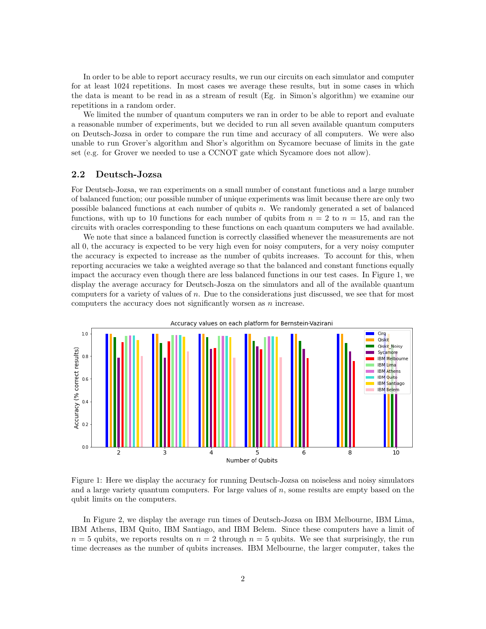In order to be able to report accuracy results, we run our circuits on each simulator and computer for at least 1024 repetitions. In most cases we average these results, but in some cases in which the data is meant to be read in as a stream of result (Eg. in Simon's algorithm) we examine our repetitions in a random order.

We limited the number of quantum computers we ran in order to be able to report and evaluate a reasonable number of experiments, but we decided to run all seven available quantum computers on Deutsch-Jozsa in order to compare the run time and accuracy of all computers. We were also unable to run Grover's algorithm and Shor's algorithm on Sycamore becuase of limits in the gate set (e.g. for Grover we needed to use a CCNOT gate which Sycamore does not allow).

#### 2.2 Deutsch-Jozsa

For Deutsch-Jozsa, we ran experiments on a small number of constant functions and a large number of balanced function; our possible number of unique experiments was limit because there are only two possible balanced functions at each number of qubits  $n$ . We randomly generated a set of balanced functions, with up to 10 functions for each number of qubits from  $n = 2$  to  $n = 15$ , and ran the circuits with oracles corresponding to these functions on each quantum computers we had available.

We note that since a balanced function is correctly classified whenever the measurements are not all 0, the accuracy is expected to be very high even for noisy computers, for a very noisy computer the accuracy is expected to increase as the number of qubits increases. To account for this, when reporting accuracies we take a weighted average so that the balanced and constant functions equally impact the accuracy even though there are less balanced functions in our test cases. In Figure 1, we display the average accuracy for Deutsch-Josza on the simulators and all of the available quantum computers for a variety of values of n. Due to the considerations just discussed, we see that for most computers the accuracy does not significantly worsen as n increase.



Figure 1: Here we display the accuracy for running Deutsch-Jozsa on noiseless and noisy simulators and a large variety quantum computers. For large values of n, some results are empty based on the qubit limits on the computers.

In Figure 2, we display the average run times of Deutsch-Jozsa on IBM Melbourne, IBM Lima, IBM Athens, IBM Quito, IBM Santiago, and IBM Belem. Since these computers have a limit of  $n = 5$  qubits, we reports results on  $n = 2$  through  $n = 5$  qubits. We see that surprisingly, the run time decreases as the number of qubits increases. IBM Melbourne, the larger computer, takes the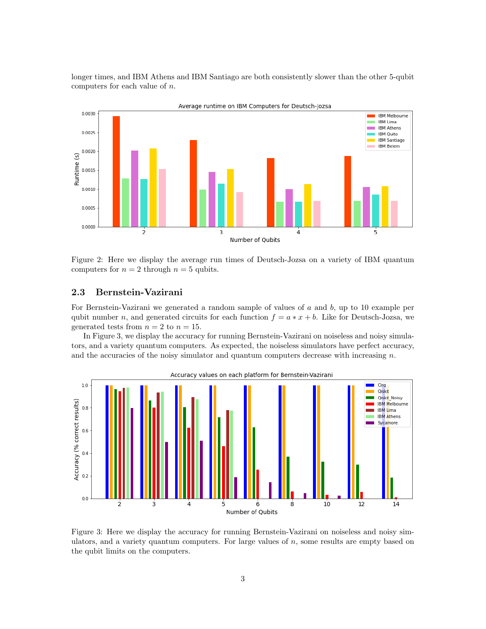longer times, and IBM Athens and IBM Santiago are both consistently slower than the other 5-qubit computers for each value of n.



Figure 2: Here we display the average run times of Deutsch-Jozsa on a variety of IBM quantum computers for  $n = 2$  through  $n = 5$  qubits.

#### 2.3 Bernstein-Vazirani

For Bernstein-Vazirani we generated a random sample of values of a and b, up to 10 example per qubit number n, and generated circuits for each function  $f = a * x + b$ . Like for Deutsch-Jozsa, we generated tests from  $n = 2$  to  $n = 15$ .

In Figure 3, we display the accuracy for running Bernstein-Vazirani on noiseless and noisy simulators, and a variety quantum computers. As expected, the noiseless simulators have perfect accuracy, and the accuracies of the noisy simulator and quantum computers decrease with increasing  $n$ .



Figure 3: Here we display the accuracy for running Bernstein-Vazirani on noiseless and noisy simulators, and a variety quantum computers. For large values of  $n$ , some results are empty based on the qubit limits on the computers.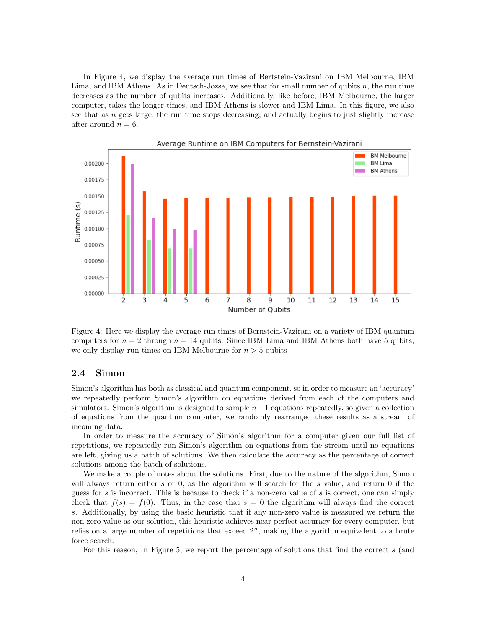In Figure 4, we display the average run times of Bertstein-Vazirani on IBM Melbourne, IBM Lima, and IBM Athens. As in Deutsch-Jozsa, we see that for small number of qubits  $n$ , the run time decreases as the number of qubits increases. Additionally, like before, IBM Melbourne, the larger computer, takes the longer times, and IBM Athens is slower and IBM Lima. In this figure, we also see that as  $n$  gets large, the run time stops decreasing, and actually begins to just slightly increase after around  $n = 6$ .



Figure 4: Here we display the average run times of Bernstein-Vazirani on a variety of IBM quantum computers for  $n = 2$  through  $n = 14$  qubits. Since IBM Lima and IBM Athens both have 5 qubits, we only display run times on IBM Melbourne for  $n > 5$  qubits

#### 2.4 Simon

Simon's algorithm has both as classical and quantum component, so in order to measure an 'accuracy' we repeatedly perform Simon's algorithm on equations derived from each of the computers and simulators. Simon's algorithm is designed to sample  $n-1$  equations repeatedly, so given a collection of equations from the quantum computer, we randomly rearranged these results as a stream of incoming data.

In order to measure the accuracy of Simon's algorithm for a computer given our full list of repetitions, we repeatedly run Simon's algorithm on equations from the stream until no equations are left, giving us a batch of solutions. We then calculate the accuracy as the percentage of correct solutions among the batch of solutions.

We make a couple of notes about the solutions. First, due to the nature of the algorithm, Simon will always return either s or 0, as the algorithm will search for the s value, and return 0 if the guess for s is incorrect. This is because to check if a non-zero value of s is correct, one can simply check that  $f(s) = f(0)$ . Thus, in the case that  $s = 0$  the algorithm will always find the correct s. Additionally, by using the basic heuristic that if any non-zero value is measured we return the non-zero value as our solution, this heuristic achieves near-perfect accuracy for every computer, but relies on a large number of repetitions that exceed  $2<sup>n</sup>$ , making the algorithm equivalent to a brute force search.

For this reason, In Figure 5, we report the percentage of solutions that find the correct s (and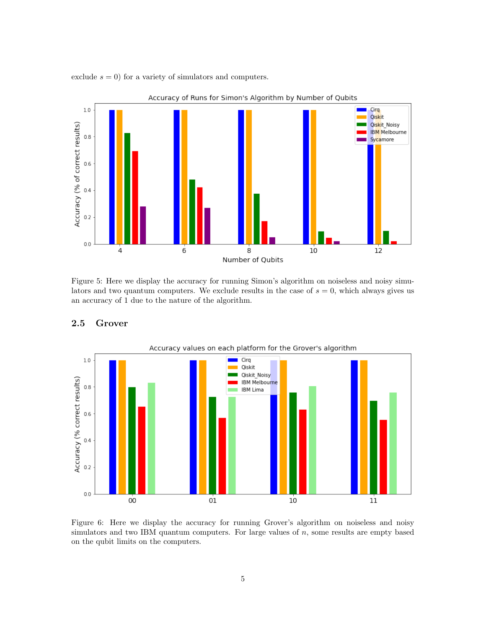exclude  $s = 0$ ) for a variety of simulators and computers.



Accuracy of Runs for Simon's Algorithm by Number of Qubits

Figure 5: Here we display the accuracy for running Simon's algorithm on noiseless and noisy simulators and two quantum computers. We exclude results in the case of  $s = 0$ , which always gives us an accuracy of 1 due to the nature of the algorithm.



## 2.5 Grover

Figure 6: Here we display the accuracy for running Grover's algorithm on noiseless and noisy simulators and two IBM quantum computers. For large values of  $n$ , some results are empty based on the qubit limits on the computers.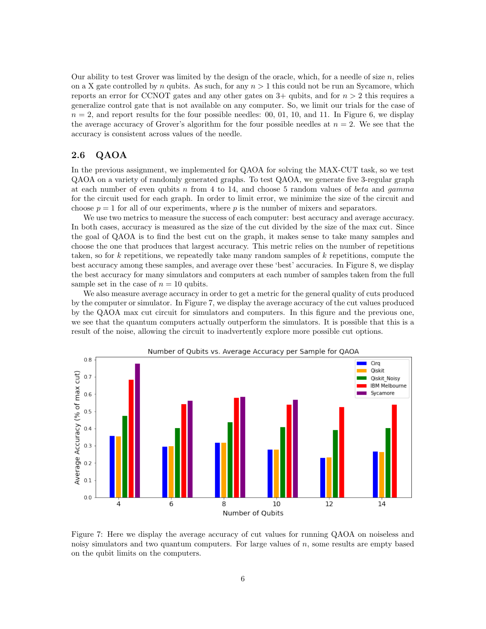Our ability to test Grover was limited by the design of the oracle, which, for a needle of size  $n$ , relies on a X gate controlled by n qubits. As such, for any  $n > 1$  this could not be run an Sycamore, which reports an error for CCNOT gates and any other gates on  $3+$  qubits, and for  $n > 2$  this requires a generalize control gate that is not available on any computer. So, we limit our trials for the case of  $n = 2$ , and report results for the four possible needles: 00, 01, 10, and 11. In Figure 6, we display the average accuracy of Grover's algorithm for the four possible needles at  $n = 2$ . We see that the accuracy is consistent across values of the needle.

#### 2.6 QAOA

In the previous assignment, we implemented for QAOA for solving the MAX-CUT task, so we test QAOA on a variety of randomly generated graphs. To test QAOA, we generate five 3-regular graph at each number of even qubits n from 4 to 14, and choose 5 random values of *beta* and *gamma* for the circuit used for each graph. In order to limit error, we minimize the size of the circuit and choose  $p = 1$  for all of our experiments, where p is the number of mixers and separators.

We use two metrics to measure the success of each computer: best accuracy and average accuracy. In both cases, accuracy is measured as the size of the cut divided by the size of the max cut. Since the goal of QAOA is to find the best cut on the graph, it makes sense to take many samples and choose the one that produces that largest accuracy. This metric relies on the number of repetitions taken, so for k repetitions, we repeatedly take many random samples of k repetitions, compute the best accuracy among these samples, and average over these 'best' accuracies. In Figure 8, we display the best accuracy for many simulators and computers at each number of samples taken from the full sample set in the case of  $n = 10$  qubits.

We also measure average accuracy in order to get a metric for the general quality of cuts produced by the computer or simulator. In Figure 7, we display the average accuracy of the cut values produced by the QAOA max cut circuit for simulators and computers. In this figure and the previous one, we see that the quantum computers actually outperform the simulators. It is possible that this is a result of the noise, allowing the circuit to inadvertently explore more possible cut options.



Figure 7: Here we display the average accuracy of cut values for running QAOA on noiseless and noisy simulators and two quantum computers. For large values of  $n$ , some results are empty based on the qubit limits on the computers.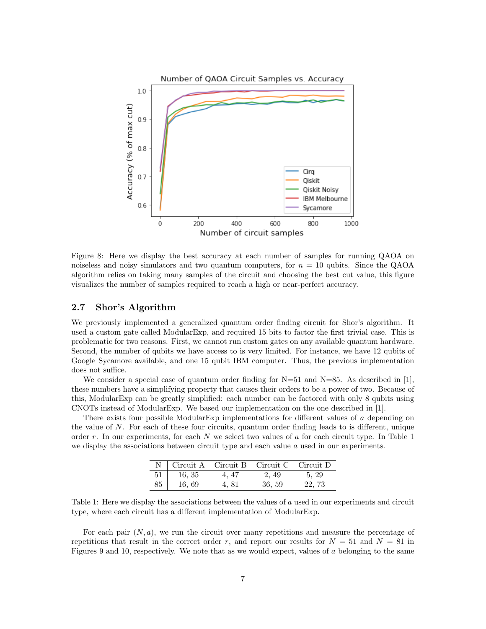

Figure 8: Here we display the best accuracy at each number of samples for running QAOA on noiseless and noisy simulators and two quantum computers, for  $n = 10$  qubits. Since the QAOA algorithm relies on taking many samples of the circuit and choosing the best cut value, this figure visualizes the number of samples required to reach a high or near-perfect accuracy.

#### 2.7 Shor's Algorithm

We previously implemented a generalized quantum order finding circuit for Shor's algorithm. It used a custom gate called ModularExp, and required 15 bits to factor the first trivial case. This is problematic for two reasons. First, we cannot run custom gates on any available quantum hardware. Second, the number of qubits we have access to is very limited. For instance, we have 12 qubits of Google Sycamore available, and one 15 qubit IBM computer. Thus, the previous implementation does not suffice.

We consider a special case of quantum order finding for  $N=51$  and  $N=85$ . As described in [1], these numbers have a simplifying property that causes their orders to be a power of two. Because of this, ModularExp can be greatly simplified: each number can be factored with only 8 qubits using CNOTs instead of ModularExp. We based our implementation on the one described in [1].

There exists four possible ModularExp implementations for different values of a depending on the value of N. For each of these four circuits, quantum order finding leads to is different, unique order  $r$ . In our experiments, for each  $N$  we select two values of  $a$  for each circuit type. In Table 1 we display the associations between circuit type and each value  $a$  used in our experiments.

| $\overline{N}$ | Circuit A Circuit B |       | Circuit C Circuit D |       |
|----------------|---------------------|-------|---------------------|-------|
| 51             | 16, 35              | 4, 47 | 2, 49               | 5, 29 |
| 85             | 16, 69              | 4.81  | 36, 59              | 22.73 |

Table 1: Here we display the associations between the values of a used in our experiments and circuit type, where each circuit has a different implementation of ModularExp.

For each pair  $(N, a)$ , we run the circuit over many repetitions and measure the percentage of repetitions that result in the correct order r, and report our results for  $N = 51$  and  $N = 81$  in Figures 9 and 10, respectively. We note that as we would expect, values of a belonging to the same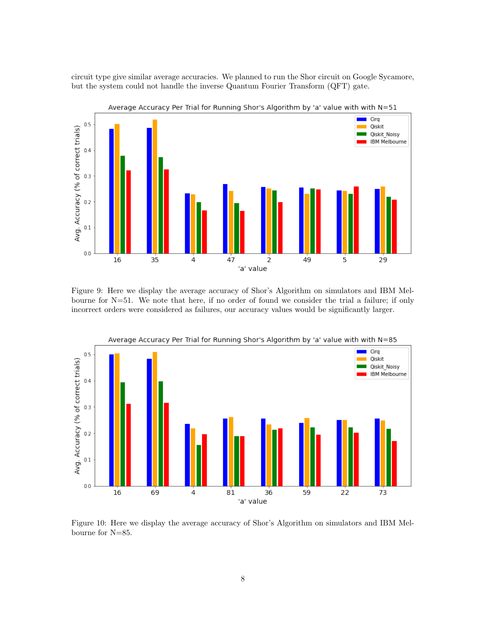circuit type give similar average accuracies. We planned to run the Shor circuit on Google Sycamore, but the system could not handle the inverse Quantum Fourier Transform (QFT) gate.



Figure 9: Here we display the average accuracy of Shor's Algorithm on simulators and IBM Melbourne for N=51. We note that here, if no order of found we consider the trial a failure; if only incorrect orders were considered as failures, our accuracy values would be significantly larger.



Average Accuracy Per Trial for Running Shor's Algorithm by 'a' value with with N=85

Figure 10: Here we display the average accuracy of Shor's Algorithm on simulators and IBM Melbourne for N=85.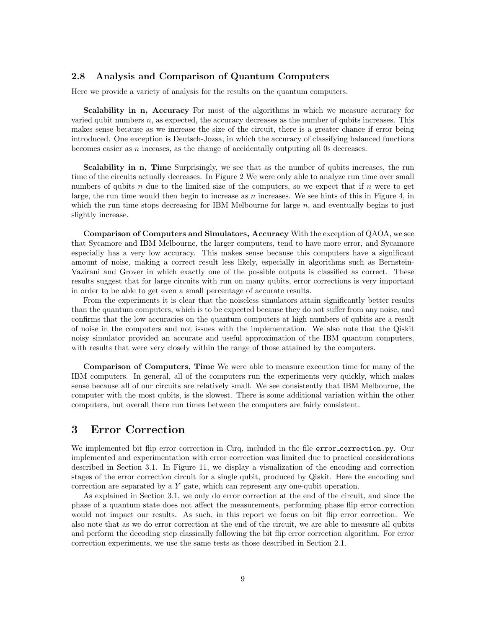#### 2.8 Analysis and Comparison of Quantum Computers

Here we provide a variety of analysis for the results on the quantum computers.

Scalability in n, Accuracy For most of the algorithms in which we measure accuracy for varied qubit numbers  $n$ , as expected, the accuracy decreases as the number of qubits increases. This makes sense because as we increase the size of the circuit, there is a greater chance if error being introduced. One exception is Deutsch-Jozsa, in which the accuracy of classifying balanced functions becomes easier as n inceases, as the change of accidentally outputing all 0s decreases.

Scalability in n, Time Surprisingly, we see that as the number of qubits increases, the run time of the circuits actually decreases. In Figure 2 We were only able to analyze run time over small numbers of qubits n due to the limited size of the computers, so we expect that if n were to get large, the run time would then begin to increase as  $n$  increases. We see hints of this in Figure 4, in which the run time stops decreasing for IBM Melbourne for large  $n$ , and eventually begins to just slightly increase.

Comparison of Computers and Simulators, Accuracy With the exception of QAOA, we see that Sycamore and IBM Melbourne, the larger computers, tend to have more error, and Sycamore especially has a very low accuracy. This makes sense because this computers have a significant amount of noise, making a correct result less likely, especially in algorithms such as Bernstein-Vazirani and Grover in which exactly one of the possible outputs is classified as correct. These results suggest that for large circuits with run on many qubits, error corrections is very important in order to be able to get even a small percentage of accurate results.

From the experiments it is clear that the noiseless simulators attain significantly better results than the quantum computers, which is to be expected because they do not suffer from any noise, and confirms that the low accuracies on the quantum computers at high numbers of qubits are a result of noise in the computers and not issues with the implementation. We also note that the Qiskit noisy simulator provided an accurate and useful approximation of the IBM quantum computers, with results that were very closely within the range of those attained by the computers.

Comparison of Computers, Time We were able to measure execution time for many of the IBM computers. In general, all of the computers run the experiments very quickly, which makes sense because all of our circuits are relatively small. We see consistently that IBM Melbourne, the computer with the most qubits, is the slowest. There is some additional variation within the other computers, but overall there run times between the computers are fairly consistent.

## 3 Error Correction

We implemented bit flip error correction in Cirq, included in the file error correction.py. Our implemented and experimentation with error correction was limited due to practical considerations described in Section 3.1. In Figure 11, we display a visualization of the encoding and correction stages of the error correction circuit for a single qubit, produced by Qiskit. Here the encoding and correction are separated by a Y gate, which can represent any one-qubit operation.

As explained in Section 3.1, we only do error correction at the end of the circuit, and since the phase of a quantum state does not affect the measurements, performing phase flip error correction would not impact our results. As such, in this report we focus on bit flip error correction. We also note that as we do error correction at the end of the circuit, we are able to measure all qubits and perform the decoding step classically following the bit flip error correction algorithm. For error correction experiments, we use the same tests as those described in Section 2.1.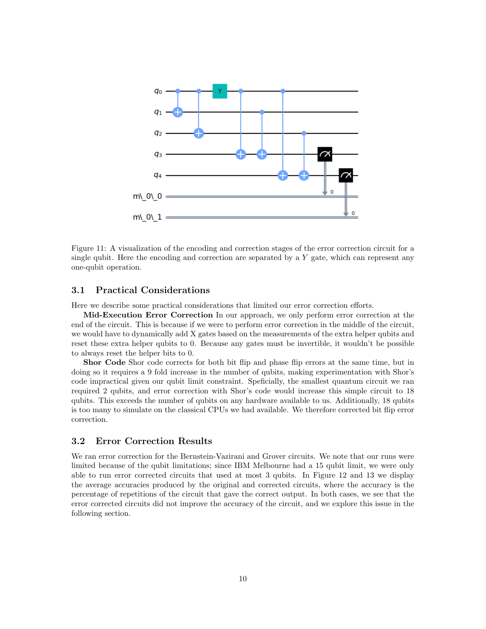

Figure 11: A visualization of the encoding and correction stages of the error correction circuit for a single qubit. Here the encoding and correction are separated by a  $Y$  gate, which can represent any one-qubit operation.

#### 3.1 Practical Considerations

Here we describe some practical considerations that limited our error correction efforts.

Mid-Execution Error Correction In our approach, we only perform error correction at the end of the circuit. This is because if we were to perform error correction in the middle of the circuit, we would have to dynamically add X gates based on the measurements of the extra helper qubits and reset these extra helper qubits to 0. Because any gates must be invertible, it wouldn't be possible to always reset the helper bits to 0.

Shor Code Shor code corrects for both bit flip and phase flip errors at the same time, but in doing so it requires a 9 fold increase in the number of qubits, making experimentation with Shor's code impractical given our qubit limit constraint. Speficially, the smallest quantum circuit we ran required 2 qubits, and error correction with Shor's code would increase this simple circuit to 18 qubits. This exceeds the number of qubits on any hardware available to us. Additionally, 18 qubits is too many to simulate on the classical CPUs we had available. We therefore corrected bit flip error correction.

#### 3.2 Error Correction Results

We ran error correction for the Bernstein-Vazirani and Grover circuits. We note that our runs were limited because of the qubit limitations; since IBM Melbourne had a 15 qubit limit, we were only able to run error corrected circuits that used at most 3 qubits. In Figure 12 and 13 we display the average accuracies produced by the original and corrected circuits, where the accuracy is the percentage of repetitions of the circuit that gave the correct output. In both cases, we see that the error corrected circuits did not improve the accuracy of the circuit, and we explore this issue in the following section.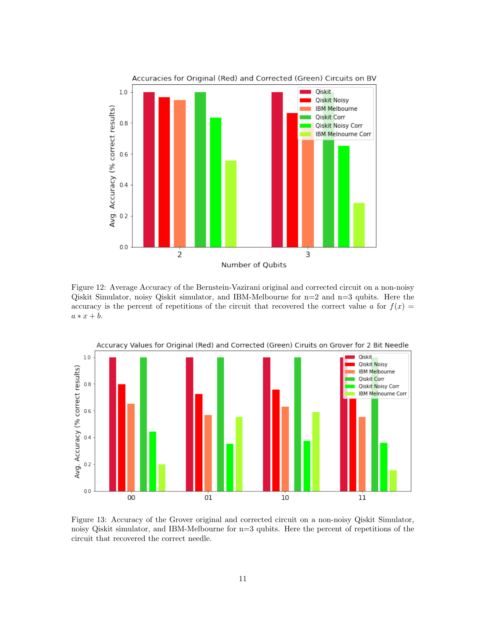

Figure 12: Average Accuracy of the Bernstein-Vazirani original and corrected circuit on a non-noisy Qiskit Simulator, noisy Qiskit simulator, and IBM-Melbourne for n=2 and n=3 qubits. Here the accuracy is the percent of repetitions of the circuit that recovered the correct value a for  $f(x) =$  $a * x + b.$ 



Figure 13: Accuracy of the Grover original and corrected circuit on a non-noisy Qiskit Simulator, noisy Qiskit simulator, and IBM-Melbourne for n=3 qubits. Here the percent of repetitions of the circuit that recovered the correct needle.